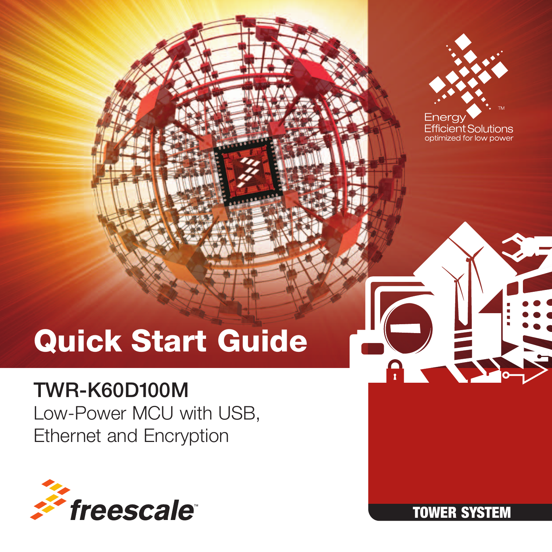

ent Solutions ized for low power

# Quick Start Guide

### TWR-K60D100M

Low-Power MCU with USB, Ethernet and Encryption



TOWER SYSTEM

A E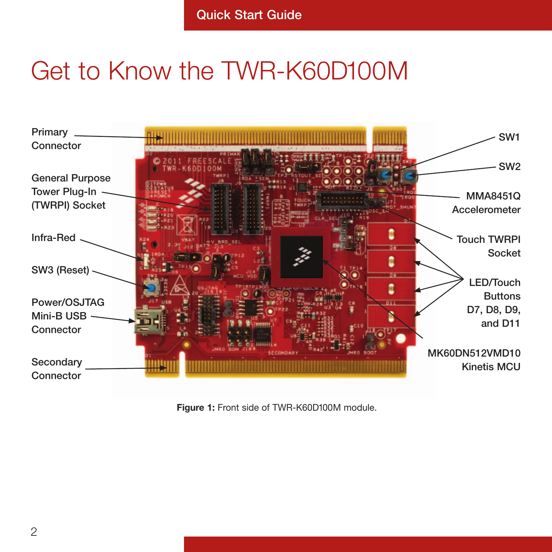## Get to Know the TWR-K60D100M



Figure 1: Front side of TWR-K60D100M module.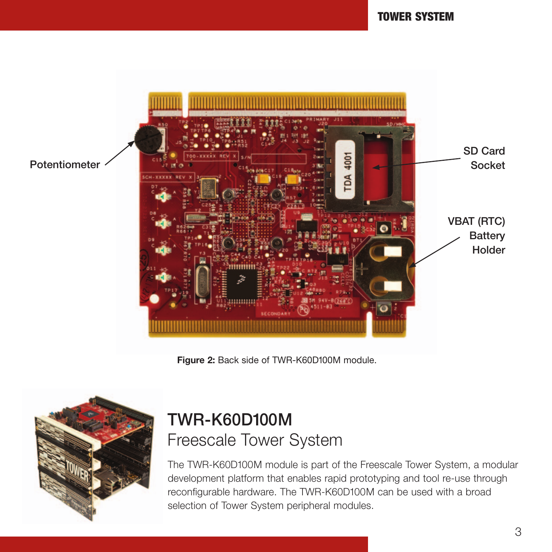

Figure 2: Back side of TWR-K60D100M module.



### TWR-K60D100M Freescale Tower System

The TWR-K60D100M module is part of the Freescale Tower System, a modular development platform that enables rapid prototyping and tool re-use through reconfigurable hardware. The TWR-K60D100M can be used with a broad selection of Tower System peripheral modules.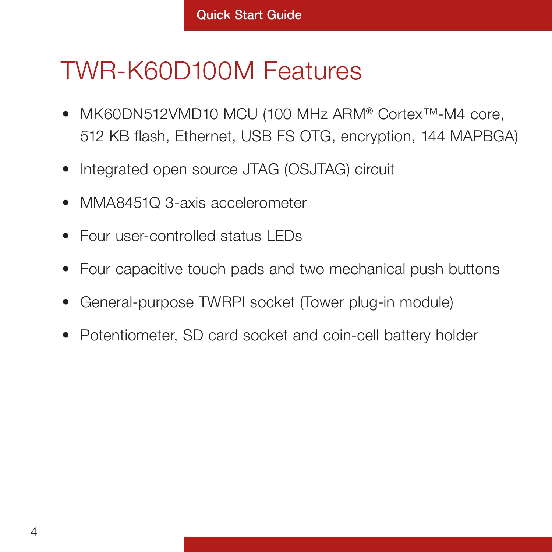## TWR-K60D100M Features

- MK60DN512VMD10 MCU (100 MHz ARM® Cortex™-M4 core, 512 KB flash, Ethernet, USB FS OTG, encryption, 144 MAPBGA)
- Integrated open source JTAG (OSJTAG) circuit
- MMA8451Q 3-axis accelerometer
- Four user-controlled status LEDs
- Four capacitive touch pads and two mechanical push buttons
- General-purpose TWRPI socket (Tower plug-in module)
- Potentiometer, SD card socket and coin-cell battery holder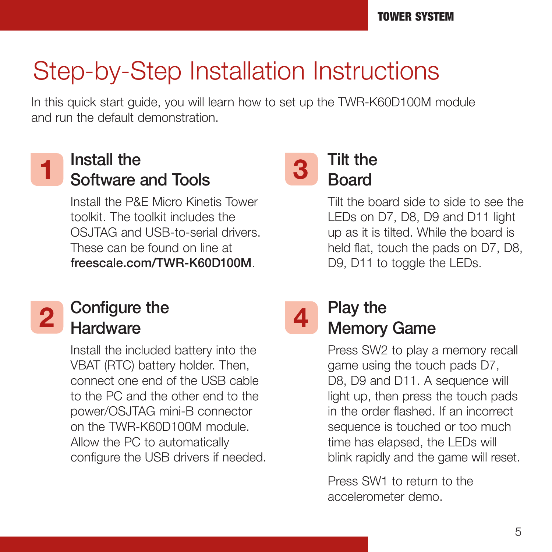## Step-by-Step Installation Instructions

In this quick start guide, you will learn how to set up the TWR-K60D100M module and run the default demonstration.

# 1

### Install the Software and Tools

Install the P&E Micro Kinetis Tower toolkit. The toolkit includes the OS ITAG and USB-to-serial drivers. These can be found on line at freescale.com/TWR-K60D100M.

#### Tilt the **Board** 3

4

Tilt the board side to side to see the LEDs on D7, D8, D9 and D11 light up as it is tilted. While the board is held flat, touch the pads on D7, D8, D9, D11 to toggle the LEDs.

# 2

#### Configure the **Hardware**

Install the included battery into the VBAT (RTC) battery holder. Then, connect one end of the USB cable to the PC and the other end to the power/OSJTAG mini-B connector on the TWR-K60D100M module. Allow the PC to automatically configure the USB drivers if needed.

### Play the Memory Game

Press SW2 to play a memory recall game using the touch pads D7, D8, D9 and D11. A sequence will light up, then press the touch pads in the order flashed. If an incorrect sequence is touched or too much time has elapsed, the LEDs will blink rapidly and the game will reset.

Press SW1 to return to the accelerometer demo.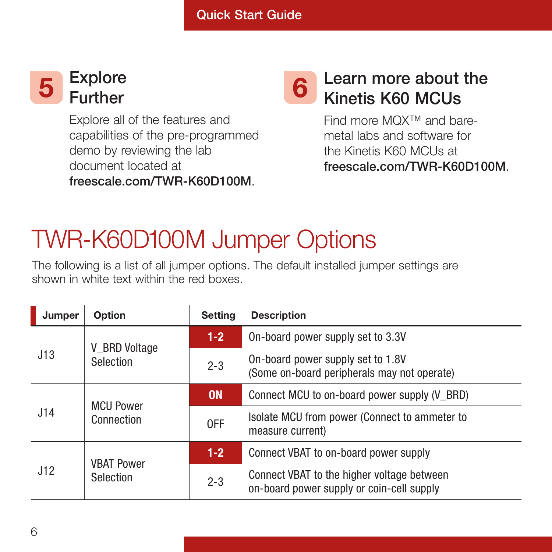#### Explore  $\overline{5}$  Explore 6

Explore all of the features and capabilities of the pre-programmed demo by reviewing the lab document located at freescale.com/TWR-K60D100M.

#### Learn more about the Kinetis K60 MCUs

Find more MQX™ and baremetal labs and software for the Kinetis K60 MCUs at freescale.com/TWR-K60D100M.

# TWR-K60D100M Jumper Options

The following is a list of all jumper options. The default installed jumper settings are shown in white text within the red boxes.

| Jumper | Option                         | Setting   | <b>Description</b>                                                                      |
|--------|--------------------------------|-----------|-----------------------------------------------------------------------------------------|
| J13    | V BRD Voltage<br>Selection     | $1-2$     | On-board power supply set to 3.3V                                                       |
|        |                                | $2 - 3$   | On-board power supply set to 1.8V<br>(Some on-board peripherals may not operate)        |
| J14    | <b>MCU Power</b><br>Connection | <b>ON</b> | Connect MCU to on-board power supply (V BRD)                                            |
|        |                                | 0FF       | Isolate MCU from power (Connect to ammeter to<br>measure current)                       |
| J12    | <b>VBAT Power</b><br>Selection | $1 - 2$   | Connect VBAT to on-board power supply                                                   |
|        |                                | $2 - 3$   | Connect VBAT to the higher voltage between<br>on-board power supply or coin-cell supply |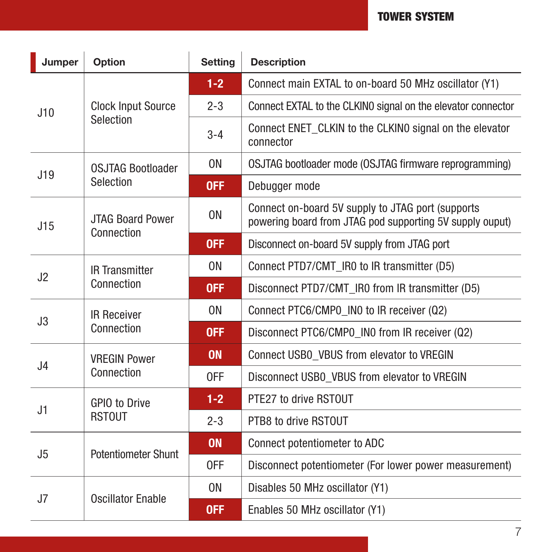| Jumper         | Option                                 | Setting        | <b>Description</b>                                                                                            |
|----------------|----------------------------------------|----------------|---------------------------------------------------------------------------------------------------------------|
| J10            | <b>Clock Input Source</b><br>Selection | $1-2$          | Connect main EXTAL to on-board 50 MHz oscillator (Y1)                                                         |
|                |                                        | $2 - 3$        | Connect EXTAL to the CLKINO signal on the elevator connector                                                  |
|                |                                        | $3 - 4$        | Connect ENET CLKIN to the CLKINO signal on the elevator<br>connector                                          |
| J19            | <b>OSJTAG Bootloader</b><br>Selection  | 0 <sub>N</sub> | OSJTAG bootloader mode (OSJTAG firmware reprogramming)                                                        |
|                |                                        | <b>OFF</b>     | Debugger mode                                                                                                 |
| J15            | <b>JTAG Board Power</b><br>Connection  | 0 <sub>N</sub> | Connect on-board 5V supply to JTAG port (supports<br>powering board from JTAG pod supporting 5V supply ouput) |
|                |                                        | <b>OFF</b>     | Disconnect on-board 5V supply from JTAG port                                                                  |
| J2             | <b>IR Transmitter</b><br>Connection    | 0 <sub>N</sub> | Connect PTD7/CMT IR0 to IR transmitter (D5)                                                                   |
|                |                                        | <b>OFF</b>     | Disconnect PTD7/CMT IR0 from IR transmitter (D5)                                                              |
| J3             | <b>IR Receiver</b><br>Connection       | 0 <sub>N</sub> | Connect PTC6/CMP0_IN0 to IR receiver (Q2)                                                                     |
|                |                                        | <b>OFF</b>     | Disconnect PTC6/CMP0 IN0 from IR receiver (Q2)                                                                |
| J <sub>4</sub> | <b>VREGIN Power</b><br>Connection      | <b>ON</b>      | Connect USB0 VBUS from elevator to VREGIN                                                                     |
|                |                                        | 0FF            | Disconnect USB0 VBUS from elevator to VREGIN                                                                  |
| J1             | GPIO to Drive<br><b>RSTOUT</b>         | $1 - 2$        | PTE27 to drive RSTOUT                                                                                         |
|                |                                        | $2 - 3$        | PTB8 to drive RSTOUT                                                                                          |
| J5             | <b>Potentiometer Shunt</b>             | <b>ON</b>      | Connect potentiometer to ADC                                                                                  |
|                |                                        | 0FF            | Disconnect potentiometer (For lower power measurement)                                                        |
| J7             | Oscillator Enable                      | 0 <sub>N</sub> | Disables 50 MHz oscillator (Y1)                                                                               |
|                |                                        | 0FF            | Enables 50 MHz oscillator (Y1)                                                                                |